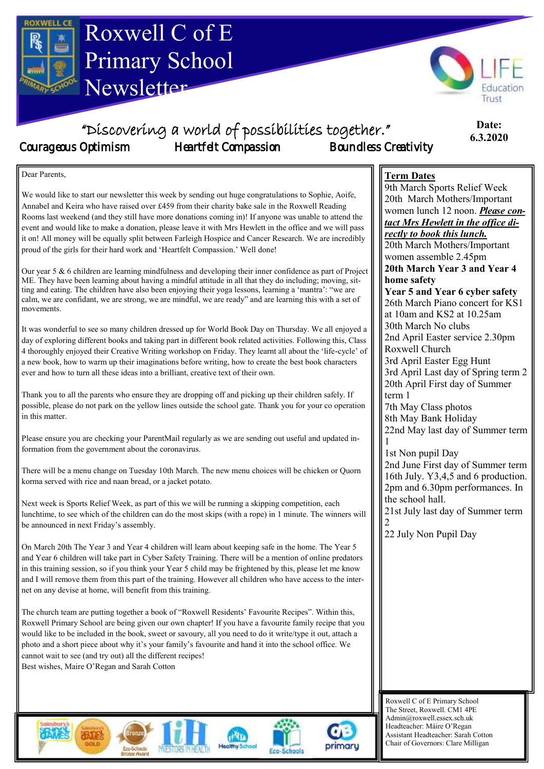

It was wonderful to see so many children dressed up for World Book Day on Thursday. We all enjoyed a day of exploring different books and taking part in different book related activities. Following this, Class 4 thoroughly enjoyed their Creative Writing workshop on Friday. They learnt all about the 'life-cycle' of a new book, how to warm up their imaginations before writing, how to create the best book characters ever and how to turn all these ideas into a brilliant, creative text of their own.

Thank you to all the parents who ensure they are dropping off and picking up their children safely. If possible, please do not park on the yellow lines outside the school gate. Thank you for your co operation in this matter.

Please ensure you are checking your ParentMail regularly as we are sending out useful and updated information from the government about the coronavirus.

There will be a menu change on Tuesday 10th March. The new menu choices will be chicken or Quorn korma served with rice and naan bread, or a jacket potato.

Next week is Sports Relief Week, as part of this we will be running a skipping competition, each lunchtime, to see which of the children can do the most skips (with a rope) in 1 minute. The winners will be announced in next Friday's assembly.

On March 20th The Year 3 and Year 4 children will learn about keeping safe in the home. The Year 5 and Year 6 children will take part in Cyber Safety Training. There will be a mention of online predators in this training session, so if you think your Year 5 child may be frightened by this, please let me know and I will remove them from this part of the training. However all children who have access to the internet on any devise at home, will benefit from this training.

The church team are putting together a book of "Roxwell Residents' Favourite Recipes". Within this, Roxwell Primary School are being given our own chapter! If you have a favourite family recipe that you would like to be included in the book, sweet or savoury, all you need to do it write/type it out, attach a photo and a short piece about why it's your family's favourite and hand it into the school office. We cannot wait to see (and try out) all the different recipes! Best wishes, Maire O'Regan and Sarah Cotton



Roxwell C of E Primary School The Street, Roxwell. CM1 4PE Admin@roxwell.essex.sch.uk Headteacher: Máire O'Regan Assistant Headteacher: Sarah Cotton Chair of Governors: Clare Milligan

2nd April Easter service 2.30pm

3rd April Last day of Spring term 2 20th April First day of Summer

22nd May last day of Summer term

2nd June First day of Summer term 16th July. Y3,4,5 and 6 production. 2pm and 6.30pm performances. In

21st July last day of Summer term

3rd April Easter Egg Hunt

7th May Class photos 8th May Bank Holiday

1st Non pupil Day

the school hall.

22 July Non Pupil Day

Roxwell Church

term 1

1

2